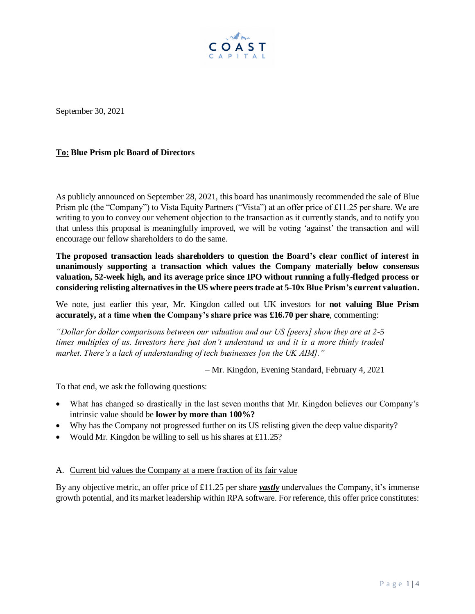

September 30, 2021

## **To: Blue Prism plc Board of Directors**

As publicly announced on September 28, 2021, this board has unanimously recommended the sale of Blue Prism plc (the "Company") to Vista Equity Partners ("Vista") at an offer price of £11.25 per share. We are writing to you to convey our vehement objection to the transaction as it currently stands, and to notify you that unless this proposal is meaningfully improved, we will be voting 'against' the transaction and will encourage our fellow shareholders to do the same.

**The proposed transaction leads shareholders to question the Board's clear conflict of interest in unanimously supporting a transaction which values the Company materially below consensus valuation, 52-week high, and its average price since IPO without running a fully-fledged process or considering relisting alternativesin the US where peers trade at 5-10x Blue Prism's current valuation.** 

We note, just earlier this year, Mr. Kingdon called out UK investors for **not valuing Blue Prism accurately, at a time when the Company's share price was £16.70 per share**, commenting:

*"Dollar for dollar comparisons between our valuation and our US [peers] show they are at 2-5 times multiples of us. Investors here just don't understand us and it is a more thinly traded market. There's a lack of understanding of tech businesses [on the UK AIM]."* 

– Mr. Kingdon, Evening Standard, February 4, 2021

To that end, we ask the following questions:

- What has changed so drastically in the last seven months that Mr. Kingdon believes our Company's intrinsic value should be **lower by more than 100%?**
- Why has the Company not progressed further on its US relisting given the deep value disparity?
- Would Mr. Kingdon be willing to sell us his shares at £11.25?

A. Current bid values the Company at a mere fraction of its fair value

By any objective metric, an offer price of £11.25 per share *vastly* undervalues the Company, it's immense growth potential, and its market leadership within RPA software. For reference, this offer price constitutes: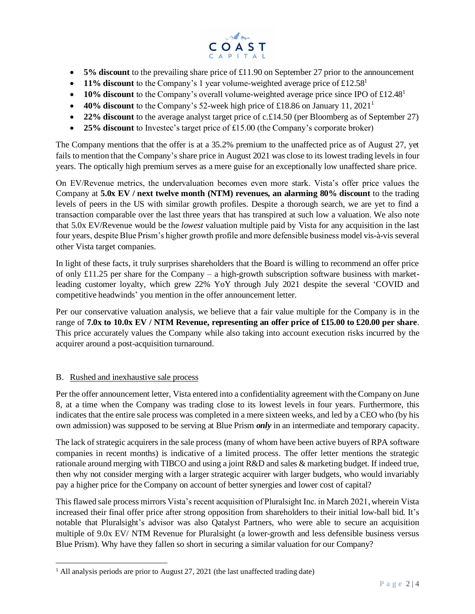

- **5% discount** to the prevailing share price of £11.90 on September 27 prior to the announcement
- **11% discount** to the Company's 1 year volume-weighted average price of  $\text{\textsterling}12.58<sup>1</sup>$
- **10% discount** to the Company's overall volume-weighted average price since IPO of £12.48<sup>1</sup>
- **40% discount** to the Company's 52-week high price of £18.86 on January 11, 2021<sup>1</sup>
- **22% discount** to the average analyst target price of c. £14.50 (per Bloomberg as of September 27)
- **25% discount** to Investec's target price of £15.00 (the Company's corporate broker)

The Company mentions that the offer is at a 35.2% premium to the unaffected price as of August 27, yet fails to mention that the Company's share price in August 2021 was close to its lowest trading levels in four years. The optically high premium serves as a mere guise for an exceptionally low unaffected share price.

On EV/Revenue metrics, the undervaluation becomes even more stark. Vista's offer price values the Company at **5.0x EV / next twelve month (NTM) revenues, an alarming 80% discount** to the trading levels of peers in the US with similar growth profiles. Despite a thorough search, we are yet to find a transaction comparable over the last three years that has transpired at such low a valuation. We also note that 5.0x EV/Revenue would be the *lowest* valuation multiple paid by Vista for any acquisition in the last four years, despite Blue Prism's higher growth profile and more defensible business model vis-à-vis several other Vista target companies.

In light of these facts, it truly surprises shareholders that the Board is willing to recommend an offer price of only £11.25 per share for the Company – a high-growth subscription software business with marketleading customer loyalty, which grew 22% YoY through July 2021 despite the several 'COVID and competitive headwinds' you mention in the offer announcement letter.

Per our conservative valuation analysis, we believe that a fair value multiple for the Company is in the range of **7.0x to 10.0x EV / NTM Revenue, representing an offer price of £15.00 to £20.00 per share**. This price accurately values the Company while also taking into account execution risks incurred by the acquirer around a post-acquisition turnaround.

## B. Rushed and inexhaustive sale process

Per the offer announcement letter, Vista entered into a confidentiality agreement with the Company on June 8, at a time when the Company was trading close to its lowest levels in four years. Furthermore, this indicates that the entire sale process was completed in a mere sixteen weeks, and led by a CEO who (by his own admission) was supposed to be serving at Blue Prism *only* in an intermediate and temporary capacity.

The lack of strategic acquirers in the sale process (many of whom have been active buyers of RPA software companies in recent months) is indicative of a limited process. The offer letter mentions the strategic rationale around merging with TIBCO and using a joint R&D and sales & marketing budget. If indeed true, then why not consider merging with a larger strategic acquirer with larger budgets, who would invariably pay a higher price for the Company on account of better synergies and lower cost of capital?

This flawed sale process mirrors Vista's recent acquisition of Pluralsight Inc. in March 2021, wherein Vista increased their final offer price after strong opposition from shareholders to their initial low-ball bid. It's notable that Pluralsight's advisor was also Qatalyst Partners, who were able to secure an acquisition multiple of 9.0x EV/ NTM Revenue for Pluralsight (a lower-growth and less defensible business versus Blue Prism). Why have they fallen so short in securing a similar valuation for our Company?

 $1$  All analysis periods are prior to August 27, 2021 (the last unaffected trading date)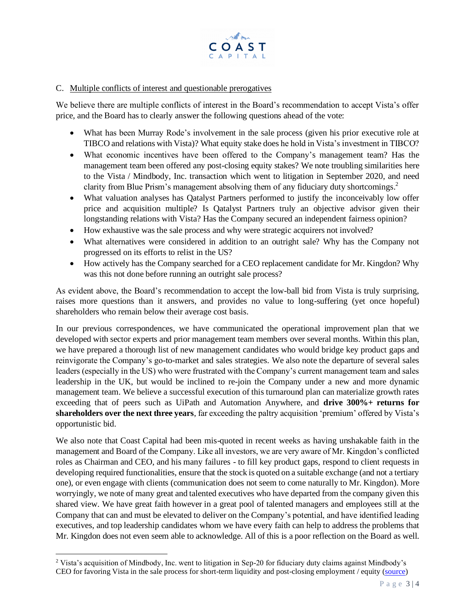

## C. Multiple conflicts of interest and questionable prerogatives

We believe there are multiple conflicts of interest in the Board's recommendation to accept Vista's offer price, and the Board has to clearly answer the following questions ahead of the vote:

- What has been Murray Rode's involvement in the sale process (given his prior executive role at TIBCO and relations with Vista)? What equity stake does he hold in Vista's investment in TIBCO?
- What economic incentives have been offered to the Company's management team? Has the management team been offered any post-closing equity stakes? We note troubling similarities here to the Vista / Mindbody, Inc. transaction which went to litigation in September 2020, and need clarity from Blue Prism's management absolving them of any fiduciary duty shortcomings. 2
- What valuation analyses has Qatalyst Partners performed to justify the inconceivably low offer price and acquisition multiple? Is Qatalyst Partners truly an objective advisor given their longstanding relations with Vista? Has the Company secured an independent fairness opinion?
- How exhaustive was the sale process and why were strategic acquirers not involved?
- What alternatives were considered in addition to an outright sale? Why has the Company not progressed on its efforts to relist in the US?
- How actively has the Company searched for a CEO replacement candidate for Mr. Kingdon? Why was this not done before running an outright sale process?

As evident above, the Board's recommendation to accept the low-ball bid from Vista is truly surprising, raises more questions than it answers, and provides no value to long-suffering (yet once hopeful) shareholders who remain below their average cost basis.

In our previous correspondences, we have communicated the operational improvement plan that we developed with sector experts and prior management team members over several months. Within this plan, we have prepared a thorough list of new management candidates who would bridge key product gaps and reinvigorate the Company's go-to-market and sales strategies. We also note the departure of several sales leaders (especially in the US) who were frustrated with the Company's current management team and sales leadership in the UK, but would be inclined to re-join the Company under a new and more dynamic management team. We believe a successful execution of this turnaround plan can materialize growth rates exceeding that of peers such as UiPath and Automation Anywhere, and **drive 300%+ returns for shareholders over the next three years**, far exceeding the paltry acquisition 'premium' offered by Vista's opportunistic bid.

We also note that Coast Capital had been mis-quoted in recent weeks as having unshakable faith in the management and Board of the Company. Like all investors, we are very aware of Mr. Kingdon's conflicted roles as Chairman and CEO, and his many failures - to fill key product gaps, respond to client requests in developing required functionalities, ensure that the stock is quoted on a suitable exchange (and not a tertiary one), or even engage with clients (communication does not seem to come naturally to Mr. Kingdon). More worryingly, we note of many great and talented executives who have departed from the company given this shared view. We have great faith however in a great pool of talented managers and employees still at the Company that can and must be elevated to deliver on the Company's potential, and have identified leading executives, and top leadership candidates whom we have every faith can help to address the problems that Mr. Kingdon does not even seem able to acknowledge. All of this is a poor reflection on the Board as well.

<sup>&</sup>lt;sup>2</sup> Vista's acquisition of Mindbody, Inc. went to litigation in Sep-20 for fiduciary duty claims against Mindbody's CEO for favoring Vista in the sale process for short-term liquidity and post-closing employment / equity [\(source\)](https://www.jdsupra.com/legalnews/fraud-on-the-board-ii-conflicted-ceo-20558/)